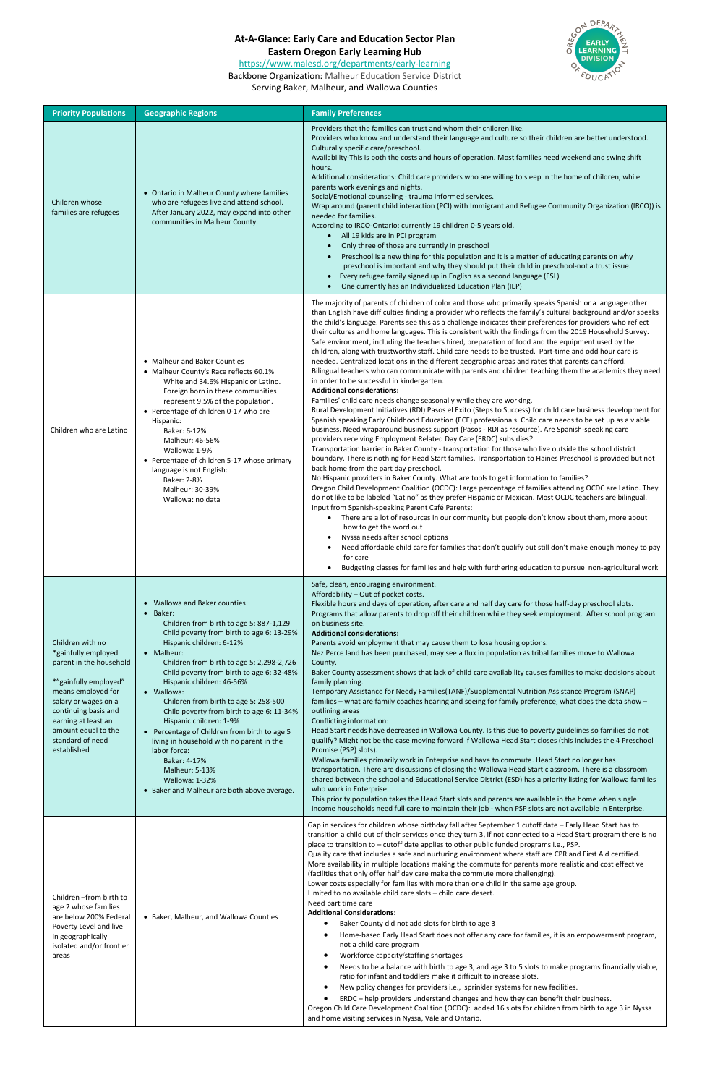## **At-A-Glance: Early Care and Education Sector Plan**

**Eastern Oregon Early Learning Hub**



## <https://www.malesd.org/departments/early-learning>

Backbone Organization: Malheur Education Service District

Serving Baker, Malheur, and Wallowa Counties

| <b>Priority Populations</b>                                                                                                                                                                                                                        | <b>Geographic Regions</b>                                                                                                                                                                                                                                                                                                                                                                                                                                                                                                                                                                                                                        | <b>Family Preferences</b>                                                                                                                                                                                                                                                                                                                                                                                                                                                                                                                                                                                                                                                                                                                                                                                                                                                                                                                                                                                                                                                                                                                                                                                                                                                                                                                                                                                                                                                                                                                                                                                                                                                                                                                                                                                                                                                                                                                                                                                                                                                                                                                                                                                                                                                                                                                                                                                                                                                                                 |
|----------------------------------------------------------------------------------------------------------------------------------------------------------------------------------------------------------------------------------------------------|--------------------------------------------------------------------------------------------------------------------------------------------------------------------------------------------------------------------------------------------------------------------------------------------------------------------------------------------------------------------------------------------------------------------------------------------------------------------------------------------------------------------------------------------------------------------------------------------------------------------------------------------------|-----------------------------------------------------------------------------------------------------------------------------------------------------------------------------------------------------------------------------------------------------------------------------------------------------------------------------------------------------------------------------------------------------------------------------------------------------------------------------------------------------------------------------------------------------------------------------------------------------------------------------------------------------------------------------------------------------------------------------------------------------------------------------------------------------------------------------------------------------------------------------------------------------------------------------------------------------------------------------------------------------------------------------------------------------------------------------------------------------------------------------------------------------------------------------------------------------------------------------------------------------------------------------------------------------------------------------------------------------------------------------------------------------------------------------------------------------------------------------------------------------------------------------------------------------------------------------------------------------------------------------------------------------------------------------------------------------------------------------------------------------------------------------------------------------------------------------------------------------------------------------------------------------------------------------------------------------------------------------------------------------------------------------------------------------------------------------------------------------------------------------------------------------------------------------------------------------------------------------------------------------------------------------------------------------------------------------------------------------------------------------------------------------------------------------------------------------------------------------------------------------------|
| Children whose<br>families are refugees                                                                                                                                                                                                            | • Ontario in Malheur County where families<br>who are refugees live and attend school.<br>After January 2022, may expand into other<br>communities in Malheur County.                                                                                                                                                                                                                                                                                                                                                                                                                                                                            | Providers that the families can trust and whom their children like.<br>Providers who know and understand their language and culture so their children are better understood.<br>Culturally specific care/preschool.<br>Availability-This is both the costs and hours of operation. Most families need weekend and swing shift<br>hours.<br>Additional considerations: Child care providers who are willing to sleep in the home of children, while<br>parents work evenings and nights.<br>Social/Emotional counseling - trauma informed services.<br>Wrap around (parent child interaction (PCI) with Immigrant and Refugee Community Organization (IRCO)) is<br>needed for families.<br>According to IRCO-Ontario: currently 19 children 0-5 years old.<br>• All 19 kids are in PCI program<br>Only three of those are currently in preschool<br>Preschool is a new thing for this population and it is a matter of educating parents on why<br>preschool is important and why they should put their child in preschool-not a trust issue.<br>Every refugee family signed up in English as a second language (ESL)<br>One currently has an Individualized Education Plan (IEP)                                                                                                                                                                                                                                                                                                                                                                                                                                                                                                                                                                                                                                                                                                                                                                                                                                                                                                                                                                                                                                                                                                                                                                                                                                                                                                                          |
| Children who are Latino                                                                                                                                                                                                                            | • Malheur and Baker Counties<br>• Malheur County's Race reflects 60.1%<br>White and 34.6% Hispanic or Latino.<br>Foreign born in these communities<br>represent 9.5% of the population.<br>• Percentage of children 0-17 who are<br>Hispanic:<br>Baker: 6-12%<br>Malheur: 46-56%<br>Wallowa: 1-9%<br>• Percentage of children 5-17 whose primary<br>language is not English:<br>Baker: 2-8%<br>Malheur: 30-39%<br>Wallowa: no data                                                                                                                                                                                                               | The majority of parents of children of color and those who primarily speaks Spanish or a language other<br>than English have difficulties finding a provider who reflects the family's cultural background and/or speaks<br>the child's language. Parents see this as a challenge indicates their preferences for providers who reflect<br>their cultures and home languages. This is consistent with the findings from the 2019 Household Survey.<br>Safe environment, including the teachers hired, preparation of food and the equipment used by the<br>children, along with trustworthy staff. Child care needs to be trusted. Part-time and odd hour care is<br>needed. Centralized locations in the different geographic areas and rates that parents can afford.<br>Bilingual teachers who can communicate with parents and children teaching them the academics they need<br>in order to be successful in kindergarten.<br><b>Additional considerations:</b><br>Families' child care needs change seasonally while they are working.<br>Rural Development Initiatives (RDI) Pasos el Exito (Steps to Success) for child care business development for<br>Spanish speaking Early Childhood Education (ECE) professionals. Child care needs to be set up as a viable<br>business. Need wraparound business support (Pasos - RDI as resource). Are Spanish-speaking care<br>providers receiving Employment Related Day Care (ERDC) subsidies?<br>Transportation barrier in Baker County - transportation for those who live outside the school district<br>boundary. There is nothing for Head Start families. Transportation to Haines Preschool is provided but not<br>back home from the part day preschool.<br>No Hispanic providers in Baker County. What are tools to get information to families?<br>Oregon Child Development Coalition (OCDC): Large percentage of families attending OCDC are Latino. They<br>do not like to be labeled "Latino" as they prefer Hispanic or Mexican. Most OCDC teachers are bilingual.<br>Input from Spanish-speaking Parent Café Parents:<br>• There are a lot of resources in our community but people don't know about them, more about<br>how to get the word out<br>Nyssa needs after school options<br>$\bullet$<br>Need affordable child care for families that don't qualify but still don't make enough money to pay<br>for care<br>Budgeting classes for families and help with furthering education to pursue non-agricultural work<br>$\bullet$ |
| Children with no<br>*gainfully employed<br>parent in the household<br>*"gainfully employed"<br>means employed for<br>salary or wages on a<br>continuing basis and<br>earning at least an<br>amount equal to the<br>standard of need<br>established | • Wallowa and Baker counties<br>• Baker:<br>Children from birth to age 5: 887-1,129<br>Child poverty from birth to age 6: 13-29%<br>Hispanic children: 6-12%<br>• Malheur:<br>Children from birth to age 5: 2,298-2,726<br>Child poverty from birth to age 6: 32-48%<br>Hispanic children: 46-56%<br>• Wallowa:<br>Children from birth to age 5: 258-500<br>Child poverty from birth to age 6: 11-34%<br>Hispanic children: 1-9%<br>• Percentage of Children from birth to age 5<br>living in household with no parent in the<br>labor force:<br>Baker: 4-17%<br>Malheur: 5-13%<br>Wallowa: 1-32%<br>• Baker and Malheur are both above average. | Safe, clean, encouraging environment.<br>Affordability - Out of pocket costs.<br>Flexible hours and days of operation, after care and half day care for those half-day preschool slots.<br>Programs that allow parents to drop off their children while they seek employment. After school program<br>on business site.<br><b>Additional considerations:</b><br>Parents avoid employment that may cause them to lose housing options.<br>Nez Perce land has been purchased, may see a flux in population as tribal families move to Wallowa<br>County.<br>Baker County assessment shows that lack of child care availability causes families to make decisions about<br>family planning.<br>Temporary Assistance for Needy Families(TANF)/Supplemental Nutrition Assistance Program (SNAP)<br>families - what are family coaches hearing and seeing for family preference, what does the data show -<br>outlining areas<br>Conflicting information:<br>Head Start needs have decreased in Wallowa County. Is this due to poverty guidelines so families do not<br>qualify? Might not be the case moving forward if Wallowa Head Start closes (this includes the 4 Preschool<br>Promise (PSP) slots).<br>Wallowa families primarily work in Enterprise and have to commute. Head Start no longer has<br>transportation. There are discussions of closing the Wallowa Head Start classroom. There is a classroom<br>shared between the school and Educational Service District (ESD) has a priority listing for Wallowa families<br>who work in Enterprise.<br>This priority population takes the Head Start slots and parents are available in the home when single<br>income households need full care to maintain their job - when PSP slots are not available in Enterprise.                                                                                                                                                                                                                                                                                                                                                                                                                                                                                                                                                                                                                                                                                                                            |
| Children - from birth to<br>age 2 whose families<br>are below 200% Federal<br>Poverty Level and live<br>in geographically<br>isolated and/or frontier<br>areas                                                                                     | • Baker, Malheur, and Wallowa Counties                                                                                                                                                                                                                                                                                                                                                                                                                                                                                                                                                                                                           | Gap in services for children whose birthday fall after September 1 cutoff date - Early Head Start has to<br>transition a child out of their services once they turn 3, if not connected to a Head Start program there is no<br>place to transition to - cutoff date applies to other public funded programs i.e., PSP.<br>Quality care that includes a safe and nurturing environment where staff are CPR and First Aid certified.<br>More availability in multiple locations making the commute for parents more realistic and cost effective<br>(facilities that only offer half day care make the commute more challenging).<br>Lower costs especially for families with more than one child in the same age group.<br>Limited to no available child care slots - child care desert.<br>Need part time care<br><b>Additional Considerations:</b><br>Baker County did not add slots for birth to age 3<br>Home-based Early Head Start does not offer any care for families, it is an empowerment program,<br>$\bullet$<br>not a child care program<br>Workforce capacity/staffing shortages<br>$\bullet$<br>Needs to be a balance with birth to age 3, and age 3 to 5 slots to make programs financially viable,<br>$\bullet$<br>ratio for infant and toddlers make it difficult to increase slots.<br>New policy changes for providers i.e., sprinkler systems for new facilities.<br>$\bullet$<br>ERDC - help providers understand changes and how they can benefit their business.<br>Oregon Child Care Development Coalition (OCDC): added 16 slots for children from birth to age 3 in Nyssa<br>and home visiting services in Nyssa, Vale and Ontario.                                                                                                                                                                                                                                                                                                                                                                                                                                                                                                                                                                                                                                                                                                                                                                                                                                             |